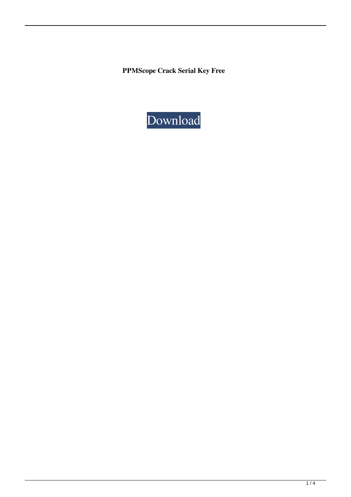**PPMScope Crack Serial Key Free**

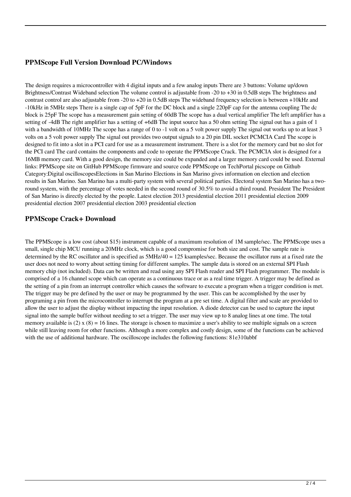## **PPMScope Full Version Download PC/Windows**

The design requires a microcontroller with 4 digital inputs and a few analog inputs There are 3 buttons: Volume up/down Brightness/Contrast Wideband selection The volume control is adjustable from -20 to +30 in 0.5dB steps The brightness and contrast control are also adjustable from -20 to +20 in 0.5dB steps The wideband frequency selection is between +10kHz and -10kHz in 5MHz steps There is a single cap of 5pF for the DC block and a single 220pF cap for the antenna coupling The dc block is 25pF The scope has a measurement gain setting of 60dB The scope has a dual vertical amplifier The left amplifier has a setting of -4dB The right amplifier has a setting of +6dB The input source has a 50 ohm setting The signal out has a gain of 1 with a bandwidth of 10MHz The scope has a range of 0 to -1 volt on a 5 volt power supply The signal out works up to at least 3 volts on a 5 volt power supply The signal out provides two output signals to a 20 pin DIL socket PCMCIA Card The scope is designed to fit into a slot in a PCI card for use as a measurement instrument. There is a slot for the memory card but no slot for the PCI card The card contains the components and code to operate the PPMScope Crack. The PCMCIA slot is designed for a 16MB memory card. With a good design, the memory size could be expanded and a larger memory card could be used. External links: PPMScope site on GitHub PPMScope firmware and source code PPMScope on TechPortal picscope on Github Category:Digital oscilloscopesElections in San Marino Elections in San Marino gives information on election and election results in San Marino. San Marino has a multi-party system with several political parties. Electoral system San Marino has a tworound system, with the percentage of votes needed in the second round of 30.5% to avoid a third round. President The President of San Marino is directly elected by the people. Latest election 2013 presidential election 2011 presidential election 2009 presidential election 2007 presidential election 2003 presidential election

# **PPMScope Crack+ Download**

The PPMScope is a low cost (about \$15) instrument capable of a maximum resolution of 1M sample/sec. The PPMScope uses a small, single chip MCU running a 20MHz clock, which is a good compromise for both size and cost. The sample rate is determined by the RC oscillator and is specified as 5MHz/40 = 125 ksamples/sec. Because the oscillator runs at a fixed rate the user does not need to worry about setting timing for different samples. The sample data is stored on an external SPI Flash memory chip (not included). Data can be written and read using any SPI Flash reader and SPI Flash programmer. The module is comprised of a 16 channel scope which can operate as a continuous trace or as a real time trigger. A trigger may be defined as the setting of a pin from an interrupt controller which causes the software to execute a program when a trigger condition is met. The trigger may be pre defined by the user or may be programmed by the user. This can be accomplished by the user by programing a pin from the microcontroller to interrupt the program at a pre set time. A digital filter and scale are provided to allow the user to adjust the display without impacting the input resolution. A diode detector can be used to capture the input signal into the sample buffer without needing to set a trigger. The user may view up to 8 analog lines at one time. The total memory available is  $(2)$  x  $(8)$  = 16 lines. The storage is chosen to maximize a user's ability to see multiple signals on a screen while still leaving room for other functions. Although a more complex and costly design, some of the functions can be achieved with the use of additional hardware. The oscilloscope includes the following functions: 81e310abbf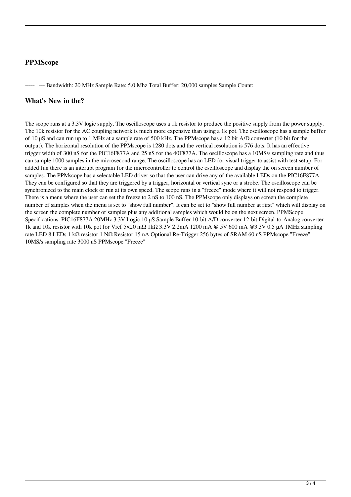# **PPMScope**

----- | --- Bandwidth: 20 MHz Sample Rate: 5.0 Mhz Total Buffer: 20,000 samples Sample Count:

#### **What's New in the?**

The scope runs at a 3.3V logic supply. The oscilloscope uses a 1k resistor to produce the positive supply from the power supply. The 10k resistor for the AC coupling network is much more expensive than using a 1k pot. The oscilloscope has a sample buffer of 10 µS and can run up to 1 MHz at a sample rate of 500 kHz. The PPMscope has a 12 bit A/D converter (10 bit for the output). The horizontal resolution of the PPMscope is 1280 dots and the vertical resolution is 576 dots. It has an effective trigger width of 300 nS for the PIC16F877A and 25 nS for the 40F877A. The oscilloscope has a 10MS/s sampling rate and thus can sample 1000 samples in the microsecond range. The oscilloscope has an LED for visual trigger to assist with test setup. For added fun there is an interupt program for the microcontroller to control the oscilloscope and display the on screen number of samples. The PPMscope has a selectable LED driver so that the user can drive any of the available LEDs on the PIC16F877A. They can be configured so that they are triggered by a trigger, horizontal or vertical sync or a strobe. The oscilloscope can be synchronized to the main clock or run at its own speed. The scope runs in a "freeze" mode where it will not respond to trigger. There is a menu where the user can set the freeze to 2 nS to 100 nS. The PPMscope only displays on screen the complete number of samples when the menu is set to "show full number". It can be set to "show full number at first" which will display on the screen the complete number of samples plus any additional samples which would be on the next screen. PPMScope Specifications: PIC16F877A 20MHz 3.3V Logic 10  $\mu$ S Sample Buffer 10-bit A/D converter 12-bit Digital-to-Analog converter 1k and 10k resistor with 10k pot for Vref 5×20 mΩ 1kΩ 3.3V 2.2mA 1200 mA @ 5V 600 mA @3.3V 0.5 µA 1MHz sampling rate LED 8 LEDs 1 kΩ resistor 1 NΩ Resistor 15 nA Optional Re-Trigger 256 bytes of SRAM 60 nS PPMscope "Freeze" 10MS/s sampling rate 3000 nS PPMscope "Freeze"